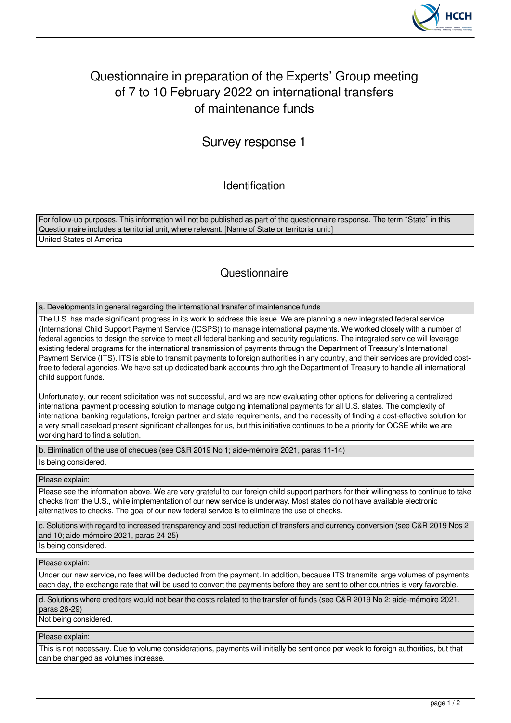

# Questionnaire in preparation of the Experts' Group meeting of 7 to 10 February 2022 on international transfers of maintenance funds

## Survey response 1

Identification

For follow-up purposes. This information will not be published as part of the questionnaire response. The term "State" in this Questionnaire includes a territorial unit, where relevant. [Name of State or territorial unit:] United States of America

### **Questionnaire**

a. Developments in general regarding the international transfer of maintenance funds

The U.S. has made significant progress in its work to address this issue. We are planning a new integrated federal service (International Child Support Payment Service (ICSPS)) to manage international payments. We worked closely with a number of federal agencies to design the service to meet all federal banking and security regulations. The integrated service will leverage existing federal programs for the international transmission of payments through the Department of Treasury's International Payment Service (ITS). ITS is able to transmit payments to foreign authorities in any country, and their services are provided costfree to federal agencies. We have set up dedicated bank accounts through the Department of Treasury to handle all international child support funds.

Unfortunately, our recent solicitation was not successful, and we are now evaluating other options for delivering a centralized international payment processing solution to manage outgoing international payments for all U.S. states. The complexity of international banking regulations, foreign partner and state requirements, and the necessity of finding a cost-effective solution for a very small caseload present significant challenges for us, but this initiative continues to be a priority for OCSE while we are working hard to find a solution.

b. Elimination of the use of cheques (see C&R 2019 No 1; aide-mémoire 2021, paras 11-14)

Is being considered.

Please explain:

Please see the information above. We are very grateful to our foreign child support partners for their willingness to continue to take checks from the U.S., while implementation of our new service is underway. Most states do not have available electronic alternatives to checks. The goal of our new federal service is to eliminate the use of checks.

c. Solutions with regard to increased transparency and cost reduction of transfers and currency conversion (see C&R 2019 Nos 2 and 10; aide-mémoire 2021, paras 24-25)

Is being considered.

Please explain:

Under our new service, no fees will be deducted from the payment. In addition, because ITS transmits large volumes of payments each day, the exchange rate that will be used to convert the payments before they are sent to other countries is very favorable.

d. Solutions where creditors would not bear the costs related to the transfer of funds (see C&R 2019 No 2; aide-mémoire 2021, paras 26-29)

Not being considered.

Please explain:

This is not necessary. Due to volume considerations, payments will initially be sent once per week to foreign authorities, but that can be changed as volumes increase.